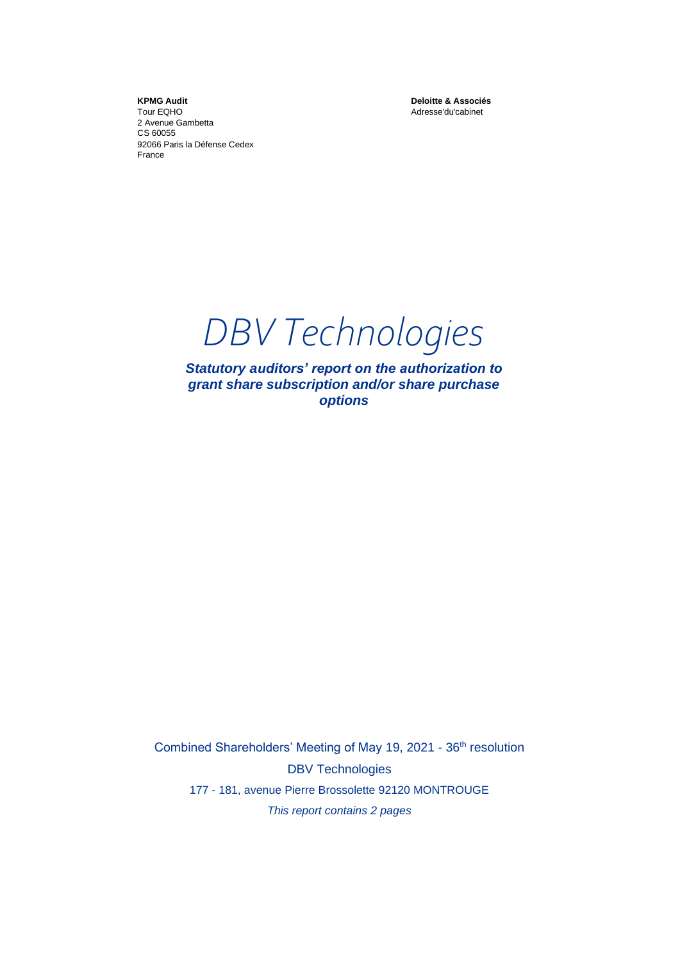**KPMG Audit** Tour EQHO 2 Avenue Gambetta CS 60055 92066 Paris la Défense Cedex France

**Deloitte & Associés** Adresse'du'cabinet

*DBV Technologies*

*Statutory auditors' report on the authorization to grant share subscription and/or share purchase options* 

Combined Shareholders' Meeting of May 19, 2021 - 36<sup>th</sup> resolution DBV Technologies 177 - 181, avenue Pierre Brossolette 92120 MONTROUGE *This report contains 2 pages*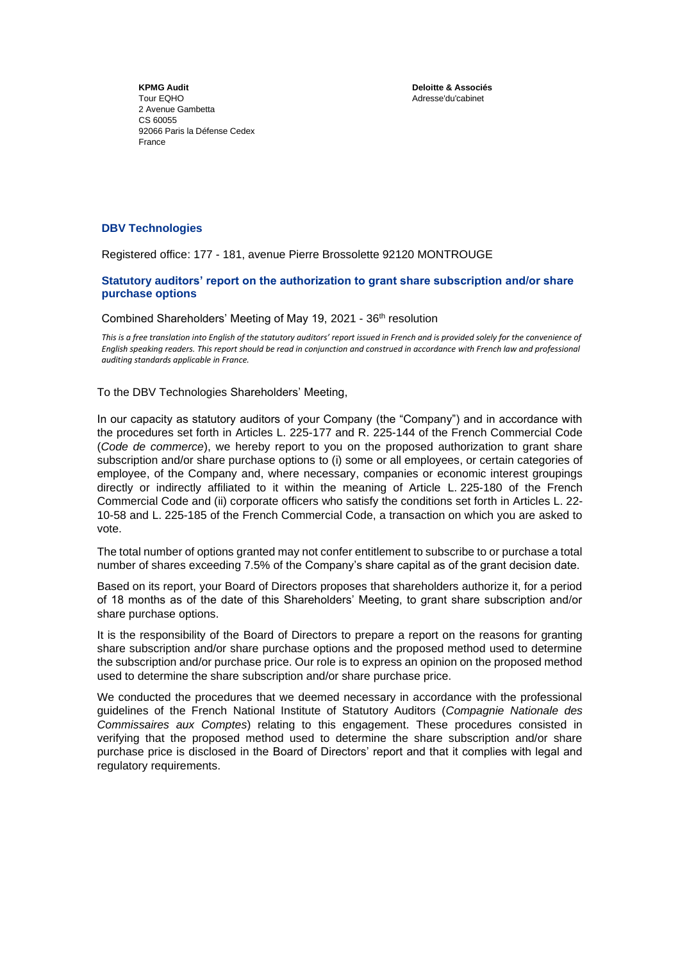**Deloitte & Associés** Adresse'du'cabinet

**KPMG Audit** Tour EQHO 2 Avenue Gambetta CS 60055 92066 Paris la Défense Cedex France

## **DBV Technologies**

Registered office: 177 - 181, avenue Pierre Brossolette 92120 MONTROUGE

## **Statutory auditors' report on the authorization to grant share subscription and/or share purchase options**

Combined Shareholders' Meeting of May 19, 2021 - 36th resolution

*This is a free translation into English of the statutory auditors' report issued in French and is provided solely for the convenience of English speaking readers. This report should be read in conjunction and construed in accordance with French law and professional auditing standards applicable in France.*

To the DBV Technologies Shareholders' Meeting,

In our capacity as statutory auditors of your Company (the "Company") and in accordance with the procedures set forth in Articles L. 225-177 and R. 225-144 of the French Commercial Code (*Code de commerce*), we hereby report to you on the proposed authorization to grant share subscription and/or share purchase options to (i) some or all employees, or certain categories of employee, of the Company and, where necessary, companies or economic interest groupings directly or indirectly affiliated to it within the meaning of Article L. 225-180 of the French Commercial Code and (ii) corporate officers who satisfy the conditions set forth in Articles L. 22- 10-58 and L. 225-185 of the French Commercial Code, a transaction on which you are asked to vote.

The total number of options granted may not confer entitlement to subscribe to or purchase a total number of shares exceeding 7.5% of the Company's share capital as of the grant decision date.

Based on its report, your Board of Directors proposes that shareholders authorize it, for a period of 18 months as of the date of this Shareholders' Meeting, to grant share subscription and/or share purchase options.

It is the responsibility of the Board of Directors to prepare a report on the reasons for granting share subscription and/or share purchase options and the proposed method used to determine the subscription and/or purchase price. Our role is to express an opinion on the proposed method used to determine the share subscription and/or share purchase price.

We conducted the procedures that we deemed necessary in accordance with the professional guidelines of the French National Institute of Statutory Auditors (*Compagnie Nationale des Commissaires aux Comptes*) relating to this engagement. These procedures consisted in verifying that the proposed method used to determine the share subscription and/or share purchase price is disclosed in the Board of Directors' report and that it complies with legal and regulatory requirements.